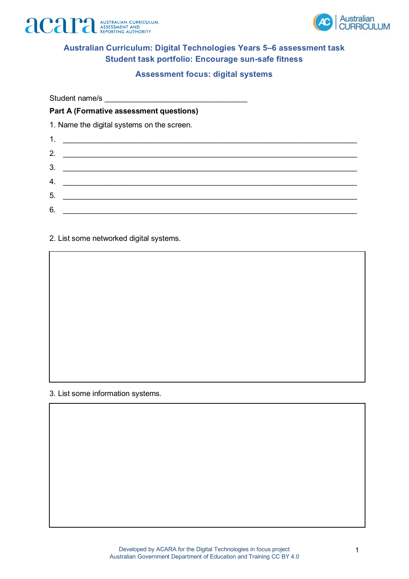



### **Australian Curriculum: Digital Technologies Years 5–6 assessment task Student task portfolio: Encourage sun-safe fitness**

#### **Assessment focus: digital systems**

Student name/s

#### **Part A (Formative assessment questions)**

1. Name the digital systems on the screen.

| 1.<br><u> 1989 - Jan Berlin, margaret eta idazlea (h. 1989).</u> |  |  |
|------------------------------------------------------------------|--|--|
| 2.                                                               |  |  |
| 3.                                                               |  |  |
| 4.                                                               |  |  |
| 5.                                                               |  |  |
| 6.                                                               |  |  |

2. List some networked digital systems.

3. List some information systems.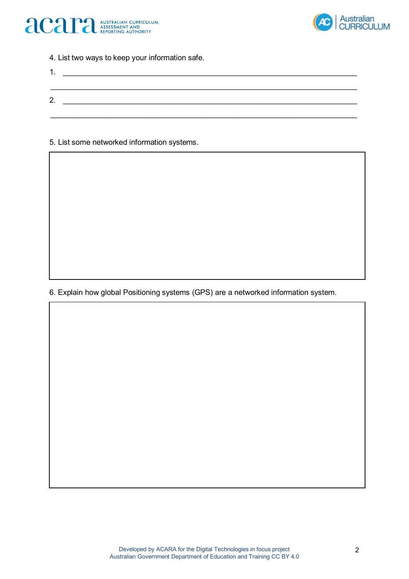



4. List two ways to keep your information safe.

| . . |  |  |
|-----|--|--|
|     |  |  |
| 2.  |  |  |
|     |  |  |

5. List some networked information systems.

6. Explain how global Positioning systems (GPS) are a networked information system.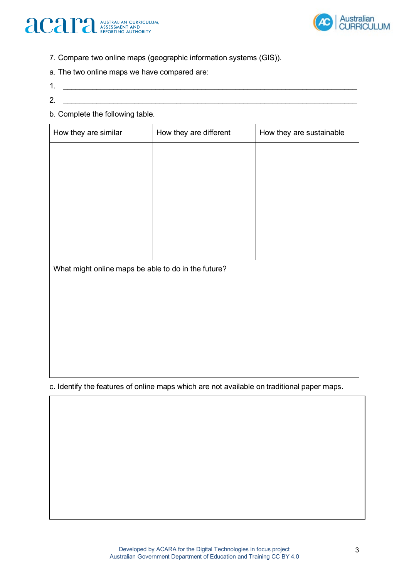



- 7. Compare two online maps (geographic information systems (GIS)).
- a. The two online maps we have compared are:
- $1.$
- 2. \_\_\_\_\_\_\_\_\_\_\_\_\_\_\_\_\_\_\_\_\_\_\_\_\_\_\_\_\_\_\_\_\_\_\_\_\_\_\_\_\_\_\_\_\_\_\_\_\_\_\_\_\_\_\_\_\_\_\_\_\_\_\_\_\_\_\_\_\_\_
- b. Complete the following table.

| How they are similar                                | How they are different | How they are sustainable |
|-----------------------------------------------------|------------------------|--------------------------|
|                                                     |                        |                          |
|                                                     |                        |                          |
|                                                     |                        |                          |
|                                                     |                        |                          |
|                                                     |                        |                          |
|                                                     |                        |                          |
| What might online maps be able to do in the future? |                        |                          |
|                                                     |                        |                          |
|                                                     |                        |                          |
|                                                     |                        |                          |
|                                                     |                        |                          |
|                                                     |                        |                          |
|                                                     |                        |                          |

c. Identify the features of online maps which are not available on traditional paper maps.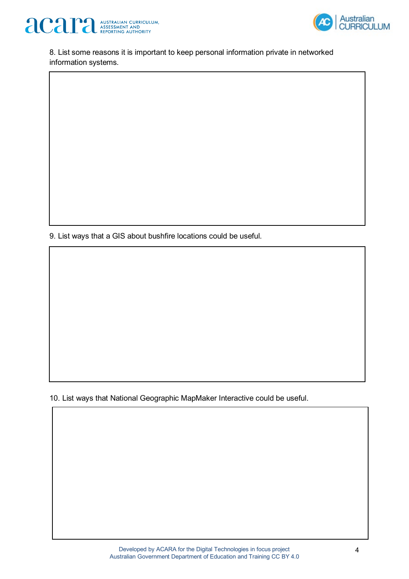



8. List some reasons it is important to keep personal information private in networked information systems.

9. List ways that a GIS about bushfire locations could be useful.

10. List ways that National Geographic MapMaker Interactive could be useful.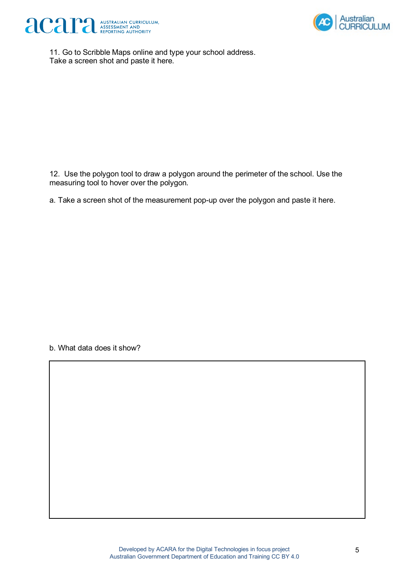



11. Go to Scribble Maps online and type your school address. Take a screen shot and paste it here.

12. Use the polygon tool to draw a polygon around the perimeter of the school. Use the measuring tool to hover over the polygon.

a. Take a screen shot of the measurement pop-up over the polygon and paste it here.

b. What data does it show?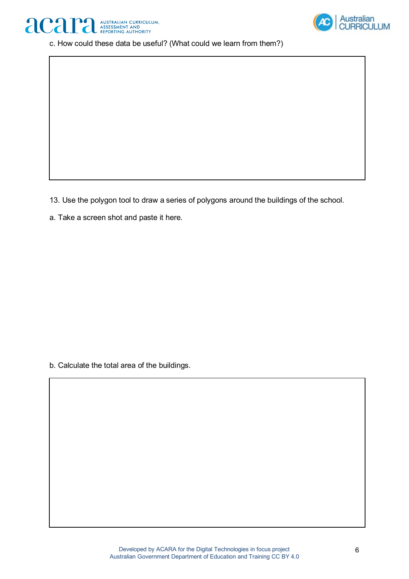



c. How could these data be useful? (What could we learn from them?)

13. Use the polygon tool to draw a series of polygons around the buildings of the school.

a. Take a screen shot and paste it here.

b. Calculate the total area of the buildings.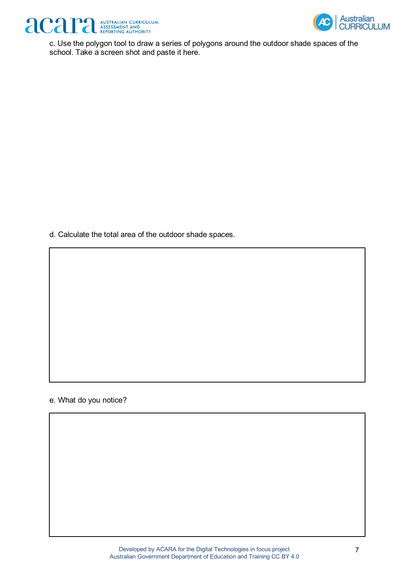



c. Use the polygon tool to draw a series of polygons around the outdoor shade spaces of the school. Take a screen shot and paste it here.

d. Calculate the total area of the outdoor shade spaces.

#### e. What do you notice?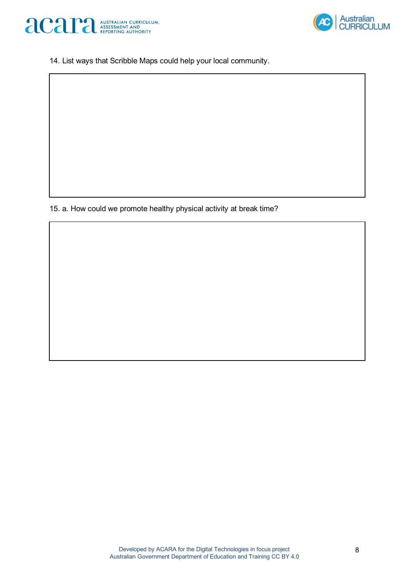



14. List ways that Scribble Maps could help your local community.

15. a. How could we promote healthy physical activity at break time?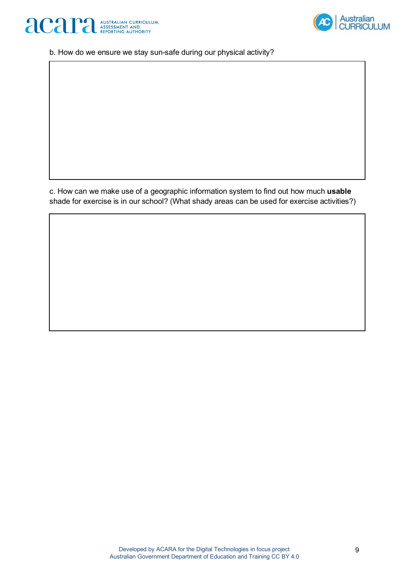



b. How do we ensure we stay sun-safe during our physical activity?

c. How can we make use of a geographic information system to find out how much **usable**  shade for exercise is in our school? (What shady areas can be used for exercise activities?)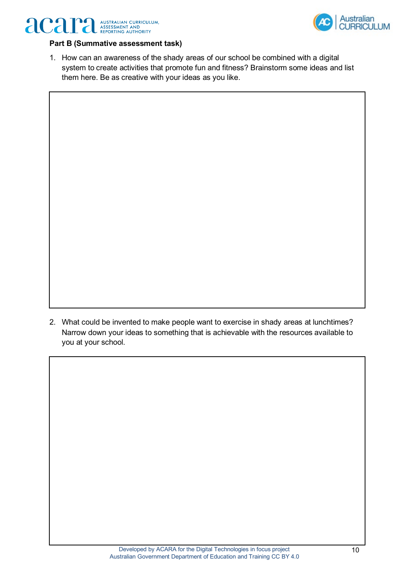



### **Part B (Summative assessment task)**

1. How can an awareness of the shady areas of our school be combined with a digital system to create activities that promote fun and fitness? Brainstorm some ideas and list them here. Be as creative with your ideas as you like.

2. What could be invented to make people want to exercise in shady areas at lunchtimes? Narrow down your ideas to something that is achievable with the resources available to you at your school.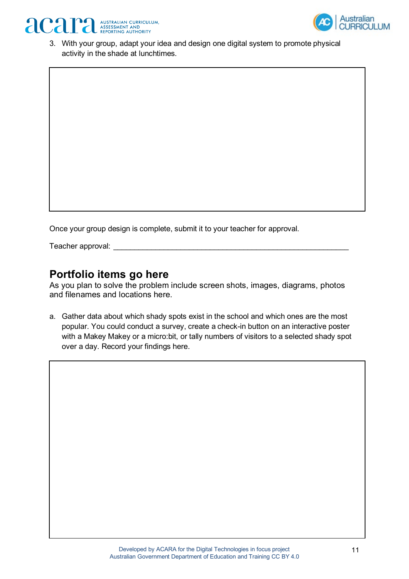



3. With your group, adapt your idea and design one digital system to promote physical activity in the shade at lunchtimes.

Once your group design is complete, submit it to your teacher for approval.

Teacher approval:

## **Portfolio items go here**

As you plan to solve the problem include screen shots, images, diagrams, photos and filenames and locations here.

a. Gather data about which shady spots exist in the school and which ones are the most popular. You could conduct a survey, create a check-in button on an interactive poster with a Makey Makey or a micro:bit, or tally numbers of visitors to a selected shady spot over a day. Record your findings here.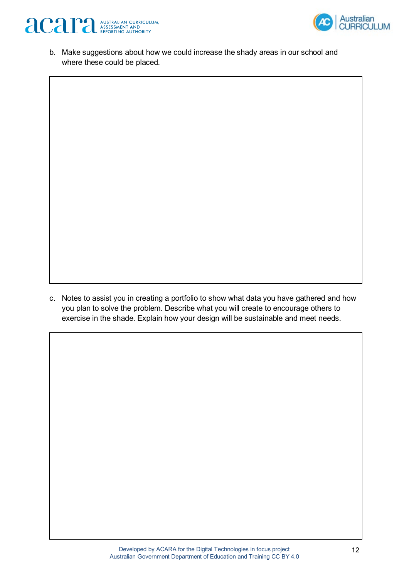



b. Make suggestions about how we could increase the shady areas in our school and where these could be placed.

c. Notes to assist you in creating a portfolio to show what data you have gathered and how you plan to solve the problem. Describe what you will create to encourage others to exercise in the shade. Explain how your design will be sustainable and meet needs.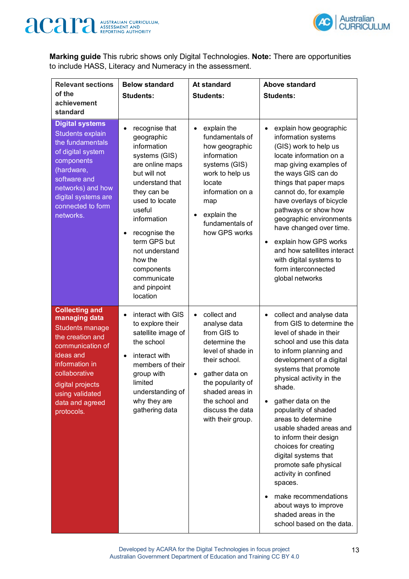



**Marking guide** This rubric shows only Digital Technologies. **Note:** There are opportunities to include HASS, Literacy and Numeracy in the assessment.

| <b>Relevant sections</b><br>of the<br>achievement<br>standard                                                                                                                                                                    | <b>Below standard</b><br><b>Students:</b>                                                                                                                                                                                                                                                                        | <b>At standard</b><br><b>Students:</b>                                                                                                                                                                                                           | Above standard<br><b>Students:</b>                                                                                                                                                                                                                                                                                                                                                                                                                                                                                                                                                                                |
|----------------------------------------------------------------------------------------------------------------------------------------------------------------------------------------------------------------------------------|------------------------------------------------------------------------------------------------------------------------------------------------------------------------------------------------------------------------------------------------------------------------------------------------------------------|--------------------------------------------------------------------------------------------------------------------------------------------------------------------------------------------------------------------------------------------------|-------------------------------------------------------------------------------------------------------------------------------------------------------------------------------------------------------------------------------------------------------------------------------------------------------------------------------------------------------------------------------------------------------------------------------------------------------------------------------------------------------------------------------------------------------------------------------------------------------------------|
| <b>Digital systems</b><br>Students explain<br>the fundamentals<br>of digital system<br>components<br>(hardware,<br>software and<br>networks) and how<br>digital systems are<br>connected to form<br>networks.                    | recognise that<br>geographic<br>information<br>systems (GIS)<br>are online maps<br>but will not<br>understand that<br>they can be<br>used to locate<br>useful<br>information<br>recognise the<br>$\bullet$<br>term GPS but<br>not understand<br>how the<br>components<br>communicate<br>and pinpoint<br>location | explain the<br>$\bullet$<br>fundamentals of<br>how geographic<br>information<br>systems (GIS)<br>work to help us<br>locate<br>information on a<br>map<br>explain the<br>fundamentals of<br>how GPS works                                         | explain how geographic<br>$\bullet$<br>information systems<br>(GIS) work to help us<br>locate information on a<br>map giving examples of<br>the ways GIS can do<br>things that paper maps<br>cannot do, for example<br>have overlays of bicycle<br>pathways or show how<br>geographic environments<br>have changed over time.<br>explain how GPS works<br>$\bullet$<br>and how satellites interact<br>with digital systems to<br>form interconnected<br>global networks                                                                                                                                           |
| <b>Collecting and</b><br>managing data<br><b>Students manage</b><br>the creation and<br>communication of<br>ideas and<br>information in<br>collaborative<br>digital projects<br>using validated<br>data and agreed<br>protocols. | interact with GIS<br>$\bullet$<br>to explore their<br>satellite image of<br>the school<br>interact with<br>$\bullet$<br>members of their<br>group with<br>limited<br>understanding of<br>why they are<br>gathering data                                                                                          | collect and<br>$\bullet$<br>analyse data<br>from GIS to<br>determine the<br>level of shade in<br>their school.<br>gather data on<br>$\bullet$<br>the popularity of<br>shaded areas in<br>the school and<br>discuss the data<br>with their group. | collect and analyse data<br>$\bullet$<br>from GIS to determine the<br>level of shade in their<br>school and use this data<br>to inform planning and<br>development of a digital<br>systems that promote<br>physical activity in the<br>shade.<br>gather data on the<br>$\bullet$<br>popularity of shaded<br>areas to determine<br>usable shaded areas and<br>to inform their design<br>choices for creating<br>digital systems that<br>promote safe physical<br>activity in confined<br>spaces.<br>make recommendations<br>$\bullet$<br>about ways to improve<br>shaded areas in the<br>school based on the data. |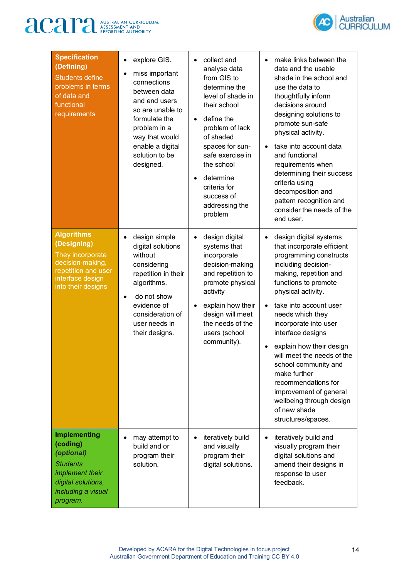# **ACAPA** AUSTRALIAN CURRICULUM,



| <b>Specification</b><br>(Defining)<br><b>Students define</b><br>problems in terms<br>of data and<br>functional<br>requirements              | explore GIS.<br>$\bullet$<br>miss important<br>connections<br>between data<br>and end users<br>so are unable to<br>formulate the<br>problem in a<br>way that would<br>enable a digital<br>solution to be<br>designed. | collect and<br>$\bullet$<br>analyse data<br>from GIS to<br>determine the<br>level of shade in<br>their school<br>define the<br>$\bullet$<br>problem of lack<br>of shaded<br>spaces for sun-<br>safe exercise in<br>the school<br>determine<br>$\bullet$<br>criteria for<br>success of<br>addressing the<br>problem | make links between the<br>$\bullet$<br>data and the usable<br>shade in the school and<br>use the data to<br>thoughtfully inform<br>decisions around<br>designing solutions to<br>promote sun-safe<br>physical activity.<br>take into account data<br>$\bullet$<br>and functional<br>requirements when<br>determining their success<br>criteria using<br>decomposition and<br>pattern recognition and<br>consider the needs of the<br>end user.                                                                           |
|---------------------------------------------------------------------------------------------------------------------------------------------|-----------------------------------------------------------------------------------------------------------------------------------------------------------------------------------------------------------------------|--------------------------------------------------------------------------------------------------------------------------------------------------------------------------------------------------------------------------------------------------------------------------------------------------------------------|--------------------------------------------------------------------------------------------------------------------------------------------------------------------------------------------------------------------------------------------------------------------------------------------------------------------------------------------------------------------------------------------------------------------------------------------------------------------------------------------------------------------------|
| <b>Algorithms</b><br>(Designing)<br>They incorporate<br>decision-making,<br>repetition and user<br>interface design<br>into their designs   | design simple<br>$\bullet$<br>digital solutions<br>without<br>considering<br>repetition in their<br>algorithms.<br>do not show<br>$\bullet$<br>evidence of<br>consideration of<br>user needs in<br>their designs.     | design digital<br>$\bullet$<br>systems that<br>incorporate<br>decision-making<br>and repetition to<br>promote physical<br>activity<br>explain how their<br>$\bullet$<br>design will meet<br>the needs of the<br>users (school<br>community).                                                                       | design digital systems<br>$\bullet$<br>that incorporate efficient<br>programming constructs<br>including decision-<br>making, repetition and<br>functions to promote<br>physical activity.<br>take into account user<br>$\bullet$<br>needs which they<br>incorporate into user<br>interface designs<br>explain how their design<br>will meet the needs of the<br>school community and<br>make further<br>recommendations for<br>improvement of general<br>wellbeing through design<br>of new shade<br>structures/spaces. |
| <b>Implementing</b><br>(coding)<br>(optional)<br><b>Students</b><br>implement their<br>digital solutions,<br>including a visual<br>program. | may attempt to<br>build and or<br>program their<br>solution.                                                                                                                                                          | iteratively build<br>$\bullet$<br>and visually<br>program their<br>digital solutions.                                                                                                                                                                                                                              | iteratively build and<br>$\bullet$<br>visually program their<br>digital solutions and<br>amend their designs in<br>response to user<br>feedback.                                                                                                                                                                                                                                                                                                                                                                         |